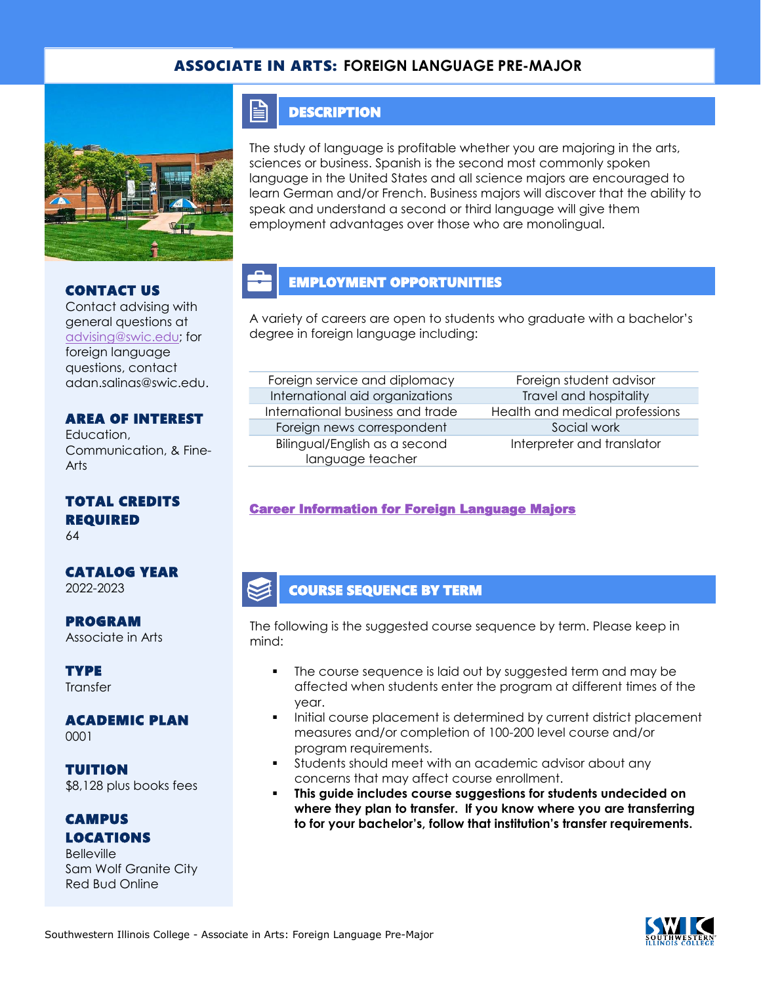## ASSOCIATE IN ARTS: **FOREIGN LANGUAGE PRE-MAJOR**



### CONTACT US

Contact advising with general questions at [advising@swic.edu;](mailto:advising@swic.edu) for foreign language questions, contact adan.salinas@swic.edu.

### AREA OF INTEREST

Education, Communication, & Fine-Arts

TOTAL CREDITS REQUIRED

64

# CATALOG YEAR

2022-2023

PROGRAM Associate in Arts

**TYPE Transfer** 

#### ACADEMIC PLAN 0001

TUITION \$8,128 plus books fees

#### CAMPUS LOCATIONS

**Belleville** Sam Wolf Granite City Red Bud Online

## **DESCRIPTION**

E

The study of language is profitable whether you are majoring in the arts, sciences or business. Spanish is the second most commonly spoken language in the United States and all science majors are encouraged to learn German and/or French. Business majors will discover that the ability to speak and understand a second or third language will give them employment advantages over those who are monolingual.

# EMPLOYMENT OPPORTUNITIES

A variety of careers are open to students who graduate with a bachelor's degree in foreign language including:

| Foreign service and diplomacy    |
|----------------------------------|
| International aid organizations  |
| International business and trade |
| Foreign news correspondent       |
| Bilingual/English as a second    |
| language teacher                 |

Foreign student advisor **International and hospitality** Health and medical professions Social work Interpreter and translator

## [Career Information for Foreign Language Majors](https://www.onetonline.org/find/quick?s=FOREING+LANUAGE)

## COURSE SEQUENCE BY TERM

The following is the suggested course sequence by term. Please keep in mind:

- The course sequence is laid out by suggested term and may be affected when students enter the program at different times of the year.
- Initial course placement is determined by current district placement measures and/or completion of 100-200 level course and/or program requirements.
- Students should meet with an academic advisor about any concerns that may affect course enrollment.
- This guide includes course suggestions for students undecided on **where they plan to transfer. If you know where you are transferring to for your bachelor's, follow that institution's transfer requirements.**